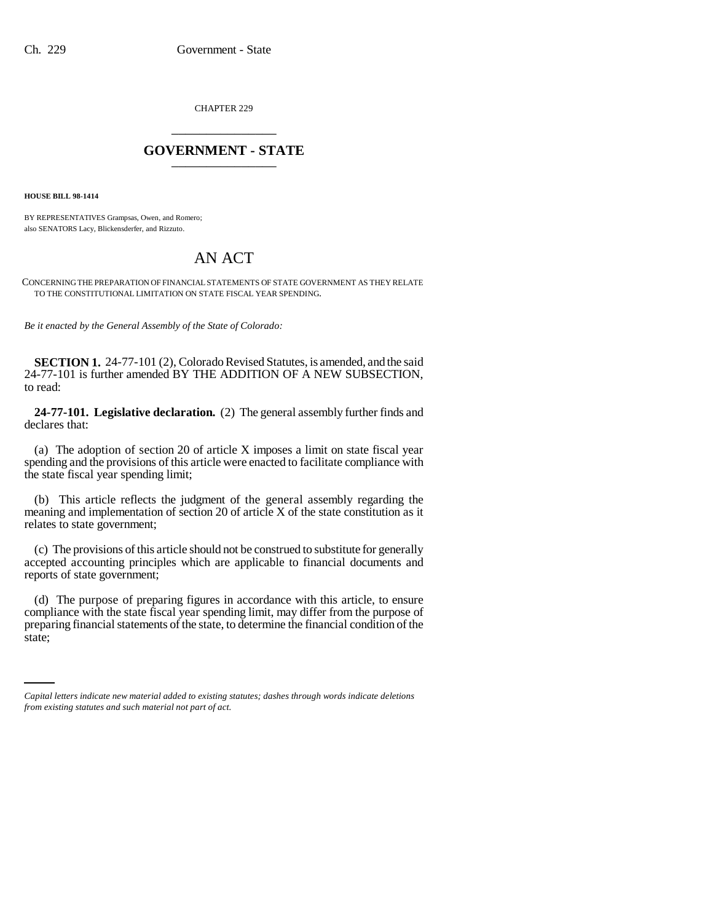CHAPTER 229 \_\_\_\_\_\_\_\_\_\_\_\_\_\_\_

## **GOVERNMENT - STATE** \_\_\_\_\_\_\_\_\_\_\_\_\_\_\_

**HOUSE BILL 98-1414**

BY REPRESENTATIVES Grampsas, Owen, and Romero; also SENATORS Lacy, Blickensderfer, and Rizzuto.

## AN ACT

CONCERNING THE PREPARATION OF FINANCIAL STATEMENTS OF STATE GOVERNMENT AS THEY RELATE TO THE CONSTITUTIONAL LIMITATION ON STATE FISCAL YEAR SPENDING.

*Be it enacted by the General Assembly of the State of Colorado:*

**SECTION 1.** 24-77-101 (2), Colorado Revised Statutes, is amended, and the said 24-77-101 is further amended BY THE ADDITION OF A NEW SUBSECTION, to read:

**24-77-101. Legislative declaration.** (2) The general assembly further finds and declares that:

(a) The adoption of section 20 of article X imposes a limit on state fiscal year spending and the provisions of this article were enacted to facilitate compliance with the state fiscal year spending limit;

(b) This article reflects the judgment of the general assembly regarding the meaning and implementation of section 20 of article X of the state constitution as it relates to state government;

(c) The provisions of this article should not be construed to substitute for generally accepted accounting principles which are applicable to financial documents and reports of state government;

preparing financial statements of the state, to determine the financial condition of the (d) The purpose of preparing figures in accordance with this article, to ensure compliance with the state fiscal year spending limit, may differ from the purpose of state;

*Capital letters indicate new material added to existing statutes; dashes through words indicate deletions from existing statutes and such material not part of act.*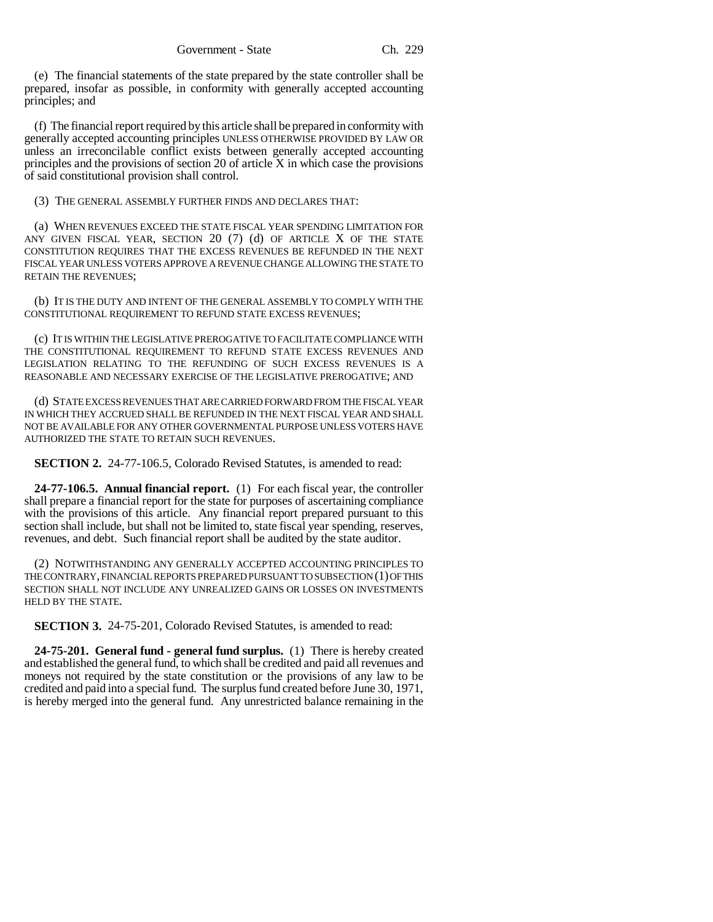(e) The financial statements of the state prepared by the state controller shall be prepared, insofar as possible, in conformity with generally accepted accounting principles; and

(f) The financial report required by this article shall be prepared in conformity with generally accepted accounting principles UNLESS OTHERWISE PROVIDED BY LAW OR unless an irreconcilable conflict exists between generally accepted accounting principles and the provisions of section 20 of article  $\bar{X}$  in which case the provisions of said constitutional provision shall control.

(3) THE GENERAL ASSEMBLY FURTHER FINDS AND DECLARES THAT:

(a) WHEN REVENUES EXCEED THE STATE FISCAL YEAR SPENDING LIMITATION FOR ANY GIVEN FISCAL YEAR, SECTION  $20$  (7) (d) OF ARTICLE X OF THE STATE CONSTITUTION REQUIRES THAT THE EXCESS REVENUES BE REFUNDED IN THE NEXT FISCAL YEAR UNLESS VOTERS APPROVE A REVENUE CHANGE ALLOWING THE STATE TO RETAIN THE REVENUES;

(b) IT IS THE DUTY AND INTENT OF THE GENERAL ASSEMBLY TO COMPLY WITH THE CONSTITUTIONAL REQUIREMENT TO REFUND STATE EXCESS REVENUES;

(c) IT IS WITHIN THE LEGISLATIVE PREROGATIVE TO FACILITATE COMPLIANCE WITH THE CONSTITUTIONAL REQUIREMENT TO REFUND STATE EXCESS REVENUES AND LEGISLATION RELATING TO THE REFUNDING OF SUCH EXCESS REVENUES IS A REASONABLE AND NECESSARY EXERCISE OF THE LEGISLATIVE PREROGATIVE; AND

(d) STATE EXCESS REVENUES THAT ARE CARRIED FORWARD FROM THE FISCAL YEAR IN WHICH THEY ACCRUED SHALL BE REFUNDED IN THE NEXT FISCAL YEAR AND SHALL NOT BE AVAILABLE FOR ANY OTHER GOVERNMENTAL PURPOSE UNLESS VOTERS HAVE AUTHORIZED THE STATE TO RETAIN SUCH REVENUES.

**SECTION 2.** 24-77-106.5, Colorado Revised Statutes, is amended to read:

**24-77-106.5. Annual financial report.** (1) For each fiscal year, the controller shall prepare a financial report for the state for purposes of ascertaining compliance with the provisions of this article. Any financial report prepared pursuant to this section shall include, but shall not be limited to, state fiscal year spending, reserves, revenues, and debt. Such financial report shall be audited by the state auditor.

(2) NOTWITHSTANDING ANY GENERALLY ACCEPTED ACCOUNTING PRINCIPLES TO THE CONTRARY, FINANCIAL REPORTS PREPARED PURSUANT TO SUBSECTION (1) OF THIS SECTION SHALL NOT INCLUDE ANY UNREALIZED GAINS OR LOSSES ON INVESTMENTS HELD BY THE STATE.

**SECTION 3.** 24-75-201, Colorado Revised Statutes, is amended to read:

**24-75-201. General fund - general fund surplus.** (1) There is hereby created and established the general fund, to which shall be credited and paid all revenues and moneys not required by the state constitution or the provisions of any law to be credited and paid into a special fund. The surplus fund created before June 30, 1971, is hereby merged into the general fund. Any unrestricted balance remaining in the